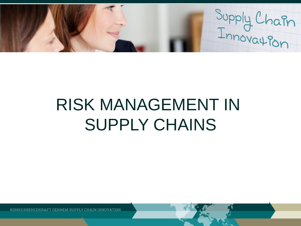Supply Chain

# RISK MANAGEMENT IN SUPPLY CHAINS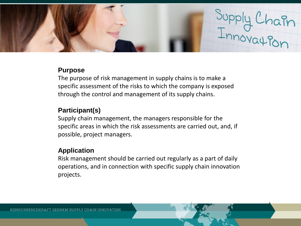

### **Purpose**

The purpose of risk management in supply chains is to make a specific assessment of the risks to which the company is exposed through the control and management of its supply chains.

## **Participant(s)**

Supply chain management, the managers responsible for the specific areas in which the risk assessments are carried out, and, if possible, project managers.

## **Application**

Risk management should be carried out regularly as a part of daily operations, and in connection with specific supply chain innovation projects.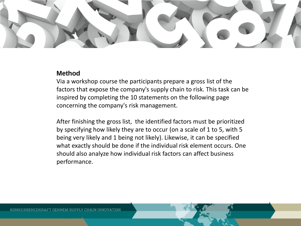

### **Method**

Via a workshop course the participants prepare a gross list of the factors that expose the company's supply chain to risk. This task can be inspired by completing the 10 statements on the following page concerning the company's risk management.

After finishing the gross list, the identified factors must be prioritized by specifying how likely they are to occur (on a scale of 1 to 5, with 5 being very likely and 1 being not likely). Likewise, it can be specified what exactly should be done if the individual risk element occurs. One should also analyze how individual risk factors can affect business performance.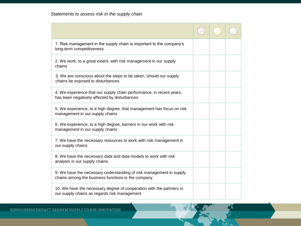| 1. Risk management in the supply chain is important to the company's<br>long-term competitiveness                         |  |  |
|---------------------------------------------------------------------------------------------------------------------------|--|--|
| 2. We work, to a great extent, with risk management in our supply<br>chains                                               |  |  |
| 3. We are conscious about the steps to be taken, should our supply<br>chains be exposed to disturbances                   |  |  |
| 4. We experience that our supply chain performance, in recent years,<br>has been negatively affected by disturbances      |  |  |
| 5. We experience, to a high degree, that management has focus on risk<br>management in our supply chains                  |  |  |
| 6. We experience, to a high degree, barriers in our work with risk<br>management in our supply chains                     |  |  |
| 7. We have the necessary resources to work with risk management in<br>our supply chains                                   |  |  |
| 8. We have the necessary data and data models to work with risk<br>analysis in our supply chains                          |  |  |
| 9. We have the necessary understanding of risk management in supply<br>chains among the business functions in the company |  |  |
| 10. We have the necessary degree of cooperation with the partners in<br>our supply chains as regards risk management      |  |  |